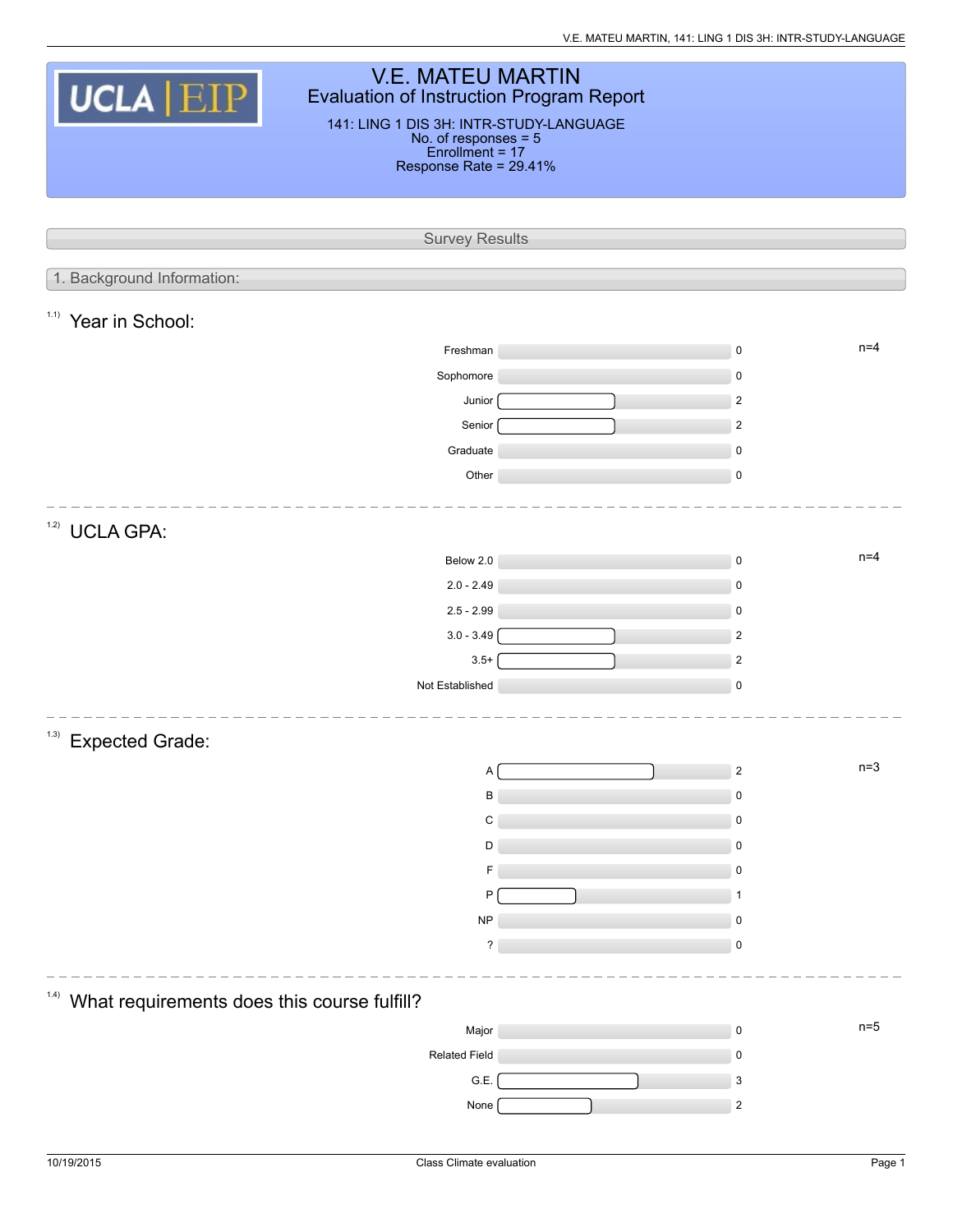| <b>V.E. MATEU MARTIN</b><br><b>UCLA EIP</b><br><b>Evaluation of Instruction Program Report</b><br>141: LING 1 DIS 3H: INTR-STUDY-LANGUAGE<br>No. of responses = 5<br>Enrollment = 17<br>Response Rate = 29.41% |                           |
|----------------------------------------------------------------------------------------------------------------------------------------------------------------------------------------------------------------|---------------------------|
|                                                                                                                                                                                                                |                           |
|                                                                                                                                                                                                                |                           |
| <b>Survey Results</b>                                                                                                                                                                                          |                           |
| 1. Background Information:                                                                                                                                                                                     |                           |
|                                                                                                                                                                                                                |                           |
| 1.1)<br>Year in School:                                                                                                                                                                                        |                           |
| Freshman                                                                                                                                                                                                       | $n=4$<br>$\mathsf 0$      |
| Sophomore                                                                                                                                                                                                      | 0                         |
| Junior                                                                                                                                                                                                         | $\overline{2}$            |
| Senior                                                                                                                                                                                                         | $\overline{2}$            |
| Graduate                                                                                                                                                                                                       | $\pmb{0}$                 |
| Other                                                                                                                                                                                                          | $\mathsf 0$               |
| 1.2)                                                                                                                                                                                                           |                           |
| <b>UCLA GPA:</b>                                                                                                                                                                                               |                           |
| Below 2.0                                                                                                                                                                                                      | $n=4$<br>$\mathsf 0$      |
| $2.0 - 2.49$                                                                                                                                                                                                   | $\mathsf 0$               |
| $2.5 - 2.99$                                                                                                                                                                                                   | $\mathbf 0$               |
| $3.0 - 3.49$                                                                                                                                                                                                   | $\overline{2}$            |
| $3.5+$                                                                                                                                                                                                         | $\overline{2}$            |
| Not Established                                                                                                                                                                                                | $\mathsf 0$               |
| (1.3)<br><b>Expected Grade:</b>                                                                                                                                                                                |                           |
| A                                                                                                                                                                                                              | $n=3$<br>$\overline{2}$   |
| B                                                                                                                                                                                                              | 0                         |
| C                                                                                                                                                                                                              | 0                         |
| D                                                                                                                                                                                                              | $\mathbf 0$               |
| F                                                                                                                                                                                                              | 0                         |
| P                                                                                                                                                                                                              | $\mathbf 1$               |
| <b>NP</b>                                                                                                                                                                                                      | 0                         |
| $\overline{\phantom{a}}$                                                                                                                                                                                       | $\pmb{0}$                 |
|                                                                                                                                                                                                                |                           |
| 1.4)<br>What requirements does this course fulfill?                                                                                                                                                            |                           |
| Major                                                                                                                                                                                                          | $n=5$<br>$\mathsf 0$      |
| <b>Related Field</b>                                                                                                                                                                                           | $\mathbf 0$               |
| G.E.                                                                                                                                                                                                           | $\ensuremath{\mathsf{3}}$ |
| None                                                                                                                                                                                                           | $\overline{c}$            |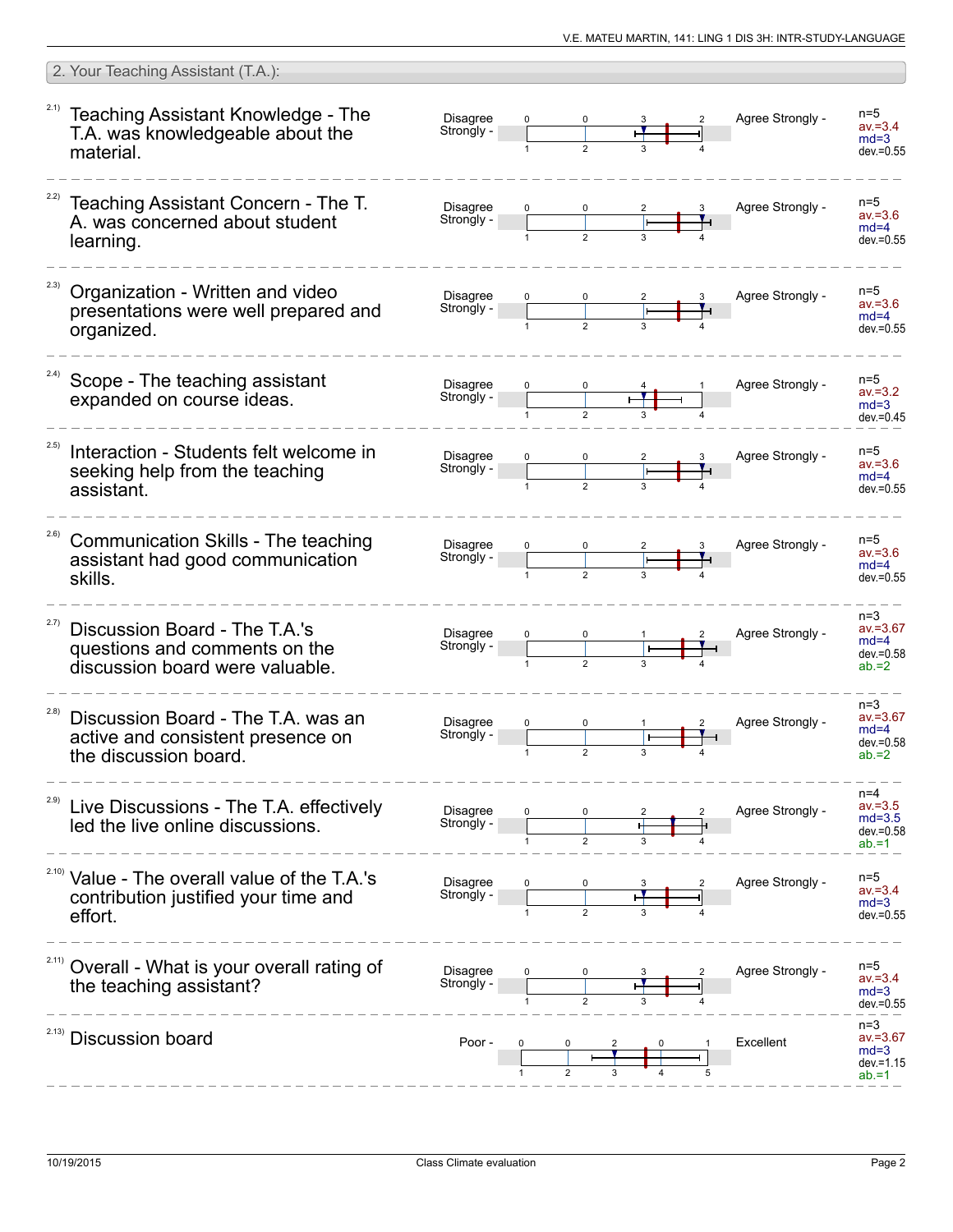|       | 2. Your Teaching Assistant (T.A.):                                                                          |                               |              |             |   |                  |                                                             |
|-------|-------------------------------------------------------------------------------------------------------------|-------------------------------|--------------|-------------|---|------------------|-------------------------------------------------------------|
|       | <sup>2.1)</sup> Teaching Assistant Knowledge - The<br>T.A. was knowledgeable about the<br>material.         | Disagree<br>Strongly -        |              |             |   | Agree Strongly - | $n=5$<br>$av = 3.4$<br>$md=3$<br>$dev = 0.55$               |
|       | Teaching Assistant Concern - The T.<br>A. was concerned about student<br>learning.                          | <b>Disagree</b><br>Strongly - |              |             |   | Agree Strongly - | $n=5$<br>$av = 3.6$<br>$md=4$<br>$dev = 0.55$               |
| 2.3)  | Organization - Written and video<br>presentations were well prepared and<br>organized.                      | <b>Disagree</b><br>Strongly - |              |             |   | Agree Strongly - | $n=5$<br>$av = 3.6$<br>$md=4$<br>$dev = 0.55$               |
| 2.4)  | Scope - The teaching assistant<br>expanded on course ideas.                                                 | <b>Disagree</b><br>Strongly - |              |             |   | Agree Strongly - | $n=5$<br>$av = 3.2$<br>$md=3$<br>$dev = 0.45$               |
| 2.5)  | Interaction - Students felt welcome in<br>seeking help from the teaching<br>assistant.                      | <b>Disagree</b><br>Strongly - |              |             |   | Agree Strongly - | $n=5$<br>$av = 3.6$<br>$md=4$<br>$dev = 0.55$               |
| 2.6)  | Communication Skills - The teaching<br>assistant had good communication<br>skills.                          | <b>Disagree</b><br>Strongly - |              |             |   | Agree Strongly - | $n=5$<br>$av = 3.6$<br>$md=4$<br>$dev = 0.55$               |
| 2.7)  | Discussion Board - The T.A.'s<br>questions and comments on the<br>discussion board were valuable.           | <b>Disagree</b><br>Strongly - |              |             |   | Agree Strongly - | $n=3$<br>$av = 3.67$<br>$md=4$<br>$dev = 0.58$<br>$ab = 2$  |
| (2.8) | Discussion Board - The T.A. was an<br>active and consistent presence on<br>the discussion board.            | <b>Disagree</b><br>Strongly - | $\mathbf{1}$ | $\mathbf 2$ | 3 | Agree Strongly - | $n=3$<br>$av = 3.67$<br>$md=4$<br>$dev = 0.58$<br>$ab = 2$  |
| 2.9)  | Live Discussions - The T.A. effectively<br>led the live online discussions.                                 | Disagree<br>Strongly -        |              |             |   | Agree Strongly - | $n=4$<br>$av = 3.5$<br>$md=3.5$<br>$dev = 0.58$<br>$ab = 1$ |
|       | <sup>2.10)</sup> Value - The overall value of the T.A.'s<br>contribution justified your time and<br>effort. | Disagree<br>Strongly -        |              |             |   | Agree Strongly - | $n=5$<br>$av = 3.4$<br>$md=3$<br>$dev = 0.55$               |
|       | Overall - What is your overall rating of<br>the teaching assistant?                                         | <b>Disagree</b><br>Strongly - |              |             |   | Agree Strongly - | $n=5$<br>$av = 3.4$<br>$md=3$<br>$dev = 0.55$               |
| 2.13) | <b>Discussion board</b>                                                                                     | Poor -                        |              |             |   | Excellent        | $n=3$<br>$av = 3.67$<br>$md=3$<br>$dev = 1.15$<br>$ab = 1$  |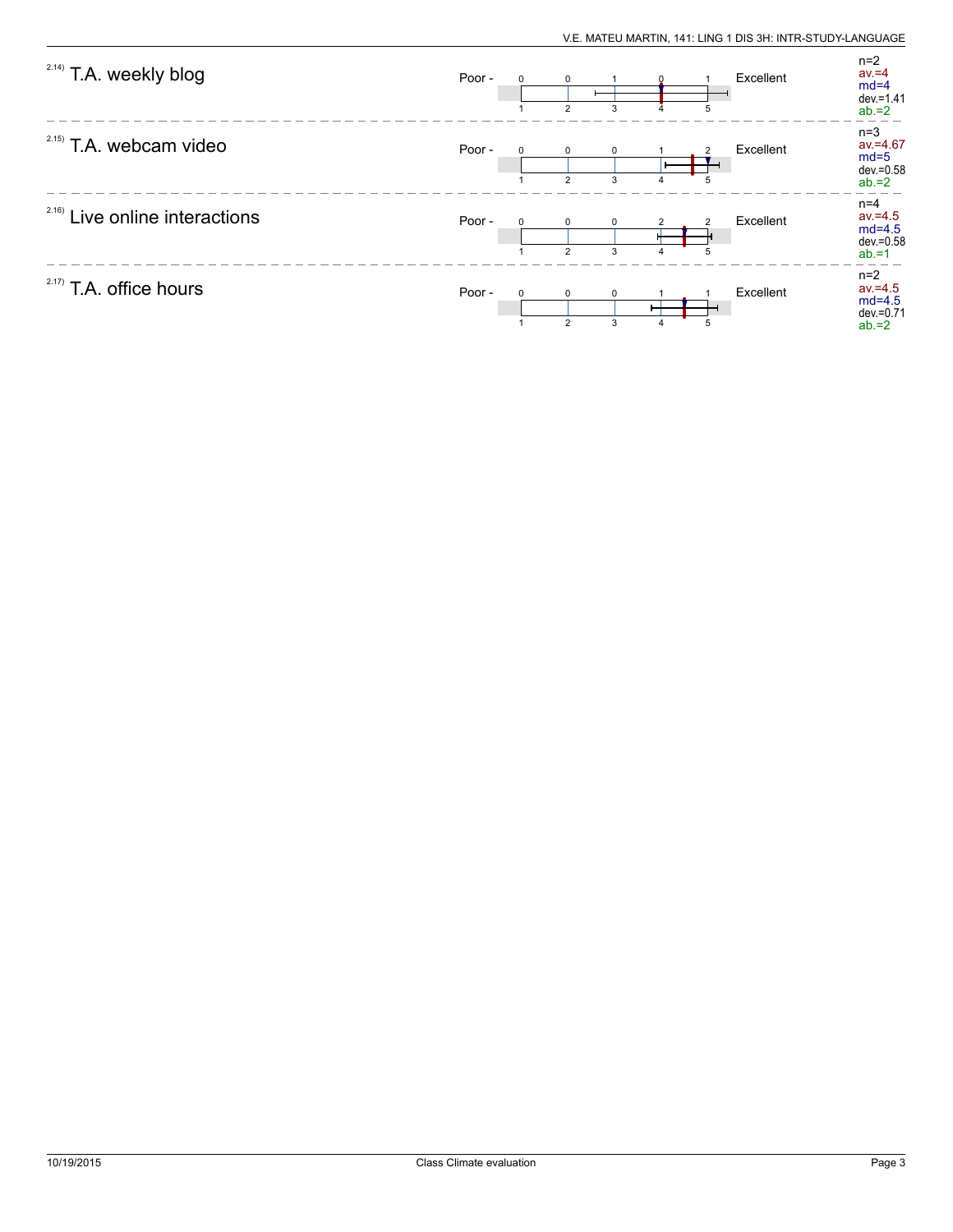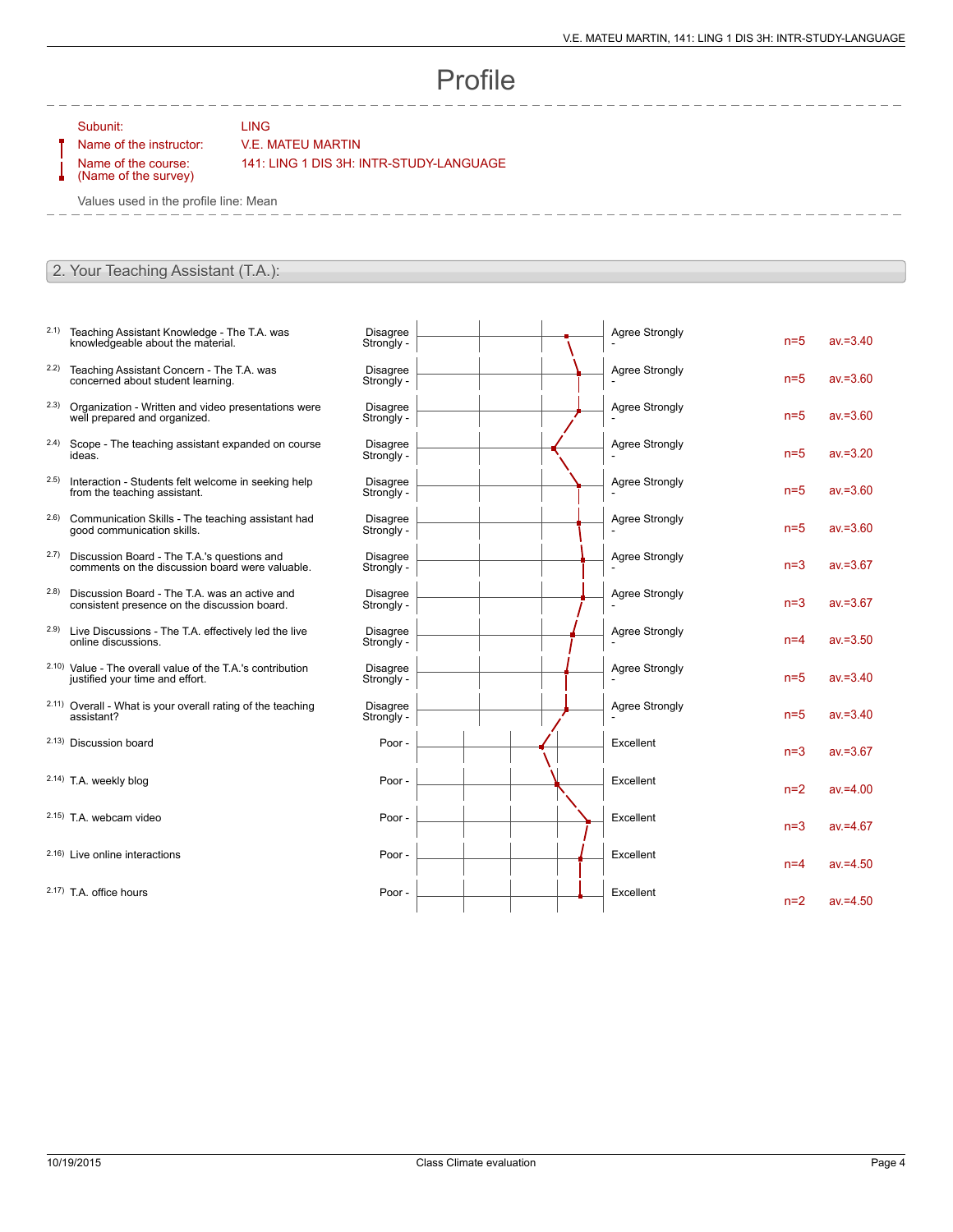## Profile

Subunit: LING

## Name of the instructor: V.E. MATEU MARTIN

Name of the course: (Name of the survey) 141: LING 1 DIS 3H: INTR-STUDY-LANGUAGE

Values used in the profile line: Mean

## 2. Your Teaching Assistant (T.A.):

- 2.1) Teaching Assistant Knowledge The T.A. was knowledgeable about the material.
- 2.2) Teaching Assistant Concern The T.A. was concerned about student learning.
- 2.3) Organization Written and video presentations were well prepared and organized.
- 2.4) Scope The teaching assistant expanded on course ideas.
- 2.5) Interaction Students felt welcome in seeking help from the teaching assistant.
- 2.6) Communication Skills The teaching assistant had good communication skills.
- 2.7) Discussion Board The T.A.'s questions and comments on the discussion board were valuable.
- 2.8) Discussion Board The T.A. was an active and consistent presence on the discussion board.
- 2.9) Live Discussions The T.A. effectively led the live online discussions.
- 2.10) Value The overall value of the T.A.'s contribution justified your time and effort.
- 2.11) Overall What is your overall rating of the teaching assistant?
- 2.13) Discussion board
- 2.14) T.A. weekly blog
- $2.15$ ) T.A. webcam video
- $2.16$ ) Live online interactions
- $2.17$ ) T.A. office hours

| <b>Disagree</b><br>Strongly - | <b>Agree Strongly</b> | $n=5$ | $av = 3.40$ |
|-------------------------------|-----------------------|-------|-------------|
| <b>Disagree</b><br>Strongly - | <b>Agree Strongly</b> | $n=5$ | $av = 3.60$ |
| <b>Disagree</b><br>Strongly - | <b>Agree Strongly</b> | $n=5$ | $av = 3.60$ |
| <b>Disagree</b><br>Strongly - | <b>Agree Strongly</b> | $n=5$ | $av = 3.20$ |
| <b>Disagree</b><br>Strongly - | <b>Agree Strongly</b> | $n=5$ | $av = 3.60$ |
| <b>Disagree</b><br>Strongly - | <b>Agree Strongly</b> | $n=5$ | $av = 3.60$ |
| <b>Disagree</b><br>Strongly - | <b>Agree Strongly</b> | $n=3$ | $av = 3.67$ |
| <b>Disagree</b><br>Strongly - | <b>Agree Strongly</b> | $n=3$ | $av = 3.67$ |
| <b>Disagree</b><br>Strongly - | <b>Agree Strongly</b> | $n=4$ | $av = 3.50$ |
| <b>Disagree</b><br>Strongly - | <b>Agree Strongly</b> | $n=5$ | $av = 3.40$ |
| <b>Disagree</b><br>Strongly - | <b>Agree Strongly</b> | $n=5$ | $av = 3.40$ |
| Poor -                        | Excellent             | $n=3$ | $av = 3.67$ |
| Poor -                        | Excellent             | $n=2$ | $av = 4.00$ |
| Poor -                        | Excellent             | $n=3$ | $av = 4.67$ |
| Poor-                         | Excellent             | $n=4$ | $av = 4.50$ |
| Poor -                        | Excellent             | $n=2$ | $av = 4.50$ |